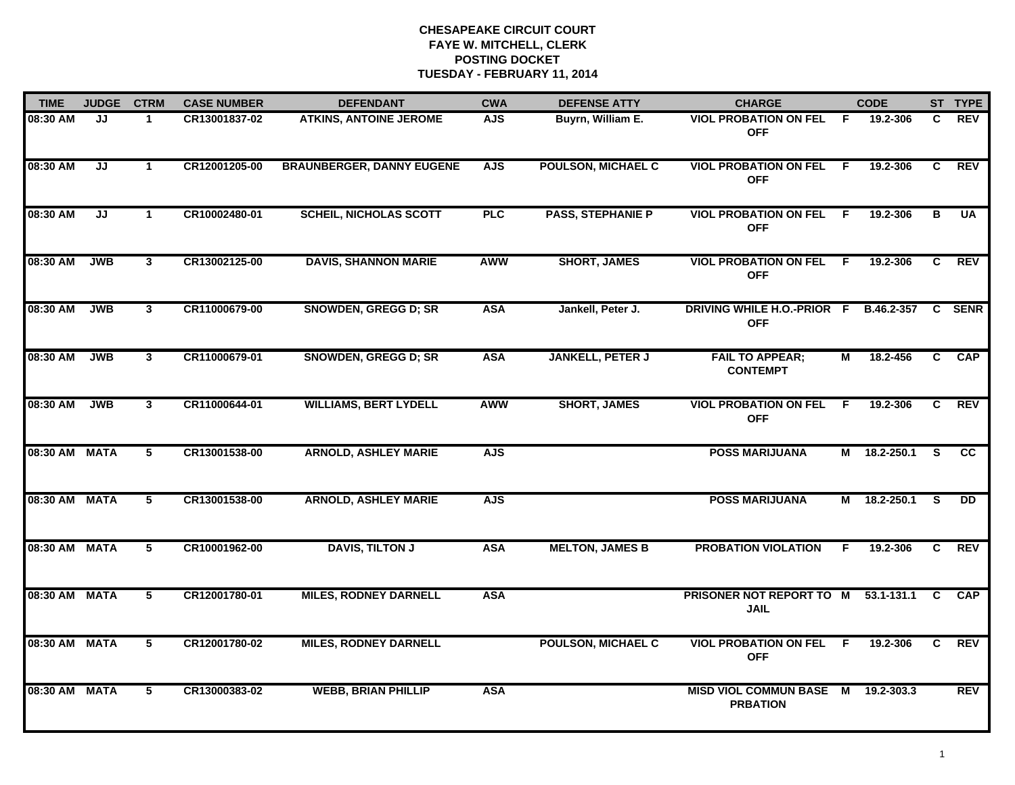| <b>TIME</b>   | <b>JUDGE</b> | <b>CTRM</b>             | <b>CASE NUMBER</b> | <b>DEFENDANT</b>                 | <b>CWA</b> | <b>DEFENSE ATTY</b>       | <b>CHARGE</b>                                         |                | <b>CODE</b>    |              | ST TYPE     |
|---------------|--------------|-------------------------|--------------------|----------------------------------|------------|---------------------------|-------------------------------------------------------|----------------|----------------|--------------|-------------|
| 08:30 AM      | JJ           | 1                       | CR13001837-02      | <b>ATKINS, ANTOINE JEROME</b>    | <b>AJS</b> | Buyrn, William E.         | <b>VIOL PROBATION ON FEL</b><br><b>OFF</b>            | -F             | 19.2-306       | C.           | <b>REV</b>  |
| 08:30 AM      | JJ           | $\mathbf{1}$            | CR12001205-00      | <b>BRAUNBERGER, DANNY EUGENE</b> | <b>AJS</b> | <b>POULSON, MICHAEL C</b> | <b>VIOL PROBATION ON FEL</b><br><b>OFF</b>            | -F.            | 19.2-306       | C            | <b>REV</b>  |
| 08:30 AM      | JJ           | $\mathbf 1$             | CR10002480-01      | <b>SCHEIL, NICHOLAS SCOTT</b>    | PLC        | <b>PASS, STEPHANIE P</b>  | <b>VIOL PROBATION ON FEL</b><br><b>OFF</b>            | - F            | 19.2-306       | в            | <b>UA</b>   |
| 08:30 AM      | <b>JWB</b>   | $\mathbf{3}$            | CR13002125-00      | <b>DAVIS, SHANNON MARIE</b>      | AWW        | <b>SHORT, JAMES</b>       | <b>VIOL PROBATION ON FEL</b><br><b>OFF</b>            | - F            | 19.2-306       | C            | <b>REV</b>  |
| 08:30 AM      | <b>JWB</b>   | 3                       | CR11000679-00      | <b>SNOWDEN, GREGG D; SR</b>      | <b>ASA</b> | Jankell, Peter J.         | DRIVING WHILE H.O.-PRIOR F<br><b>OFF</b>              |                | B.46.2-357     | C.           | <b>SENR</b> |
| 08:30 AM      | <b>JWB</b>   | $\mathbf{3}$            | CR11000679-01      | <b>SNOWDEN, GREGG D; SR</b>      | <b>ASA</b> | <b>JANKELL, PETER J</b>   | <b>FAIL TO APPEAR;</b><br><b>CONTEMPT</b>             | М              | 18.2-456       | C.           | <b>CAP</b>  |
| 08:30 AM      | <b>JWB</b>   | $\overline{\mathbf{3}}$ | CR11000644-01      | <b>WILLIAMS, BERT LYDELL</b>     | <b>AWW</b> | <b>SHORT, JAMES</b>       | <b>VIOL PROBATION ON FEL</b><br><b>OFF</b>            | $\overline{F}$ | 19.2-306       | C            | REV         |
| 08:30 AM MATA |              | 5                       | CR13001538-00      | <b>ARNOLD, ASHLEY MARIE</b>      | <b>AJS</b> |                           | <b>POSS MARIJUANA</b>                                 |                | M 18.2-250.1   | <b>S</b>     | <b>CC</b>   |
| 08:30 AM MATA |              | 5                       | CR13001538-00      | <b>ARNOLD, ASHLEY MARIE</b>      | <b>AJS</b> |                           | <b>POSS MARIJUANA</b>                                 |                | M 18.2-250.1   | <b>S</b>     | DD.         |
| 08:30 AM MATA |              | 5                       | CR10001962-00      | <b>DAVIS, TILTON J</b>           | <b>ASA</b> | <b>MELTON, JAMES B</b>    | <b>PROBATION VIOLATION</b>                            | F              | 19.2-306       | $\mathbf{C}$ | <b>REV</b>  |
| 08:30 AM MATA |              | 5                       | CR12001780-01      | <b>MILES, RODNEY DARNELL</b>     | <b>ASA</b> |                           | PRISONER NOT REPORT TO M<br><b>JAIL</b>               |                | $53.1 - 131.1$ | C            | <b>CAP</b>  |
| 08:30 AM MATA |              | 5                       | CR12001780-02      | <b>MILES, RODNEY DARNELL</b>     |            | <b>POULSON, MICHAEL C</b> | <b>VIOL PROBATION ON FEL</b><br><b>OFF</b>            | F.             | 19.2-306       | C.           | <b>REV</b>  |
| 08:30 AM MATA |              | 5                       | CR13000383-02      | <b>WEBB, BRIAN PHILLIP</b>       | <b>ASA</b> |                           | MISD VIOL COMMUN BASE M 19.2-303.3<br><b>PRBATION</b> |                |                |              | REV         |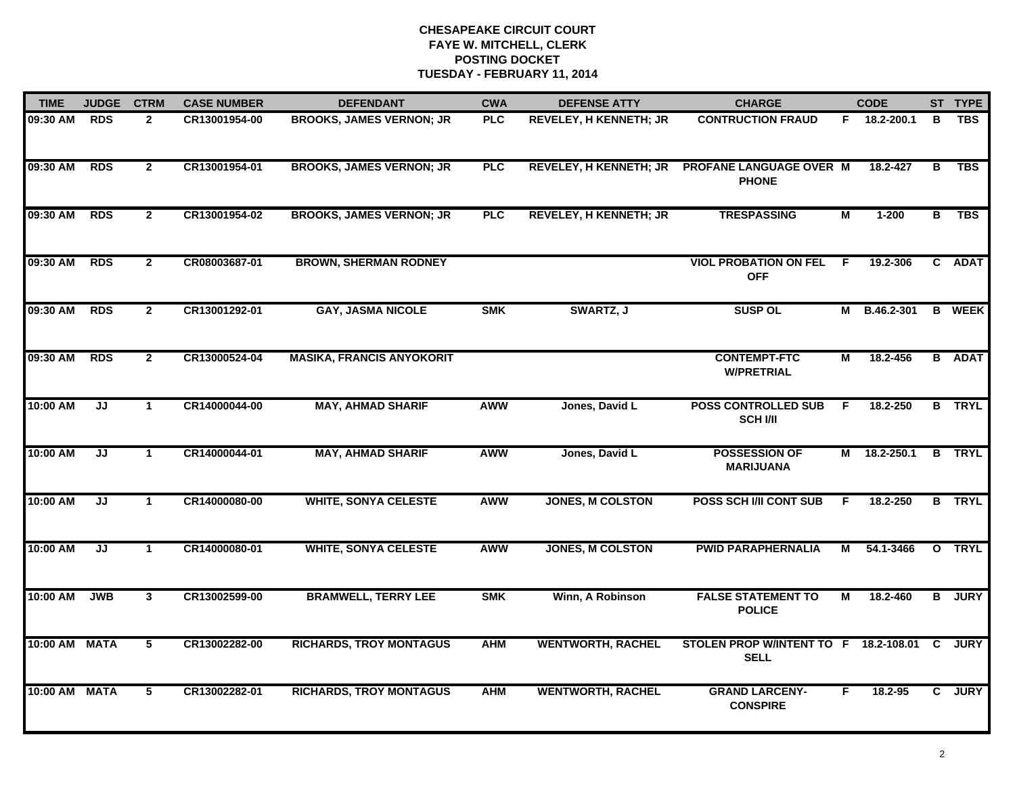| <b>TIME</b>   | <b>JUDGE</b> | <b>CTRM</b>     | <b>CASE NUMBER</b> | <b>DEFENDANT</b>                 | <b>CWA</b> | <b>DEFENSE ATTY</b>           | <b>CHARGE</b>                                          |                | <b>CODE</b>  |                | ST TYPE       |
|---------------|--------------|-----------------|--------------------|----------------------------------|------------|-------------------------------|--------------------------------------------------------|----------------|--------------|----------------|---------------|
| 09:30 AM      | <b>RDS</b>   | $\mathbf{2}$    | CR13001954-00      | <b>BROOKS, JAMES VERNON; JR</b>  | PLC        | <b>REVELEY, H KENNETH; JR</b> | <b>CONTRUCTION FRAUD</b>                               |                | F 18.2-200.1 | В              | <b>TBS</b>    |
| 09:30 AM      | <b>RDS</b>   | $\mathbf{2}$    | CR13001954-01      | <b>BROOKS, JAMES VERNON; JR</b>  | <b>PLC</b> | <b>REVELEY, H KENNETH; JR</b> | PROFANE LANGUAGE OVER M<br><b>PHONE</b>                |                | 18.2-427     | в              | <b>TBS</b>    |
| 09:30 AM      | <b>RDS</b>   | $\overline{2}$  | CR13001954-02      | <b>BROOKS, JAMES VERNON; JR</b>  | <b>PLC</b> | <b>REVELEY, H KENNETH; JR</b> | <b>TRESPASSING</b>                                     | $\overline{M}$ | $1 - 200$    | $\overline{B}$ | <b>TBS</b>    |
| 09:30 AM      | <b>RDS</b>   | $\mathbf{2}$    | CR08003687-01      | <b>BROWN, SHERMAN RODNEY</b>     |            |                               | <b>VIOL PROBATION ON FEL</b><br><b>OFF</b>             | F.             | 19.2-306     |                | C ADAT        |
| 09:30 AM      | <b>RDS</b>   | $\mathbf{2}$    | CR13001292-01      | <b>GAY, JASMA NICOLE</b>         | <b>SMK</b> | SWARTZ, J                     | <b>SUSP OL</b>                                         |                | M B.46.2-301 |                | <b>B</b> WEEK |
| 09:30 AM      | <b>RDS</b>   | $\mathbf{2}$    | CR13000524-04      | <b>MASIKA, FRANCIS ANYOKORIT</b> |            |                               | <b>CONTEMPT-FTC</b><br><b>W/PRETRIAL</b>               | М              | 18.2-456     |                | <b>B</b> ADAT |
| 10:00 AM      | JJ           | $\mathbf{1}$    | CR14000044-00      | <b>MAY, AHMAD SHARIF</b>         | <b>AWW</b> | Jones, David L                | <b>POSS CONTROLLED SUB</b><br><b>SCH I/II</b>          | F.             | 18.2-250     |                | <b>B</b> TRYL |
| 10:00 AM      | JJ           | $\mathbf{1}$    | CR14000044-01      | <b>MAY, AHMAD SHARIF</b>         | <b>AWW</b> | Jones, David L                | <b>POSSESSION OF</b><br><b>MARIJUANA</b>               |                | M 18.2-250.1 |                | <b>B</b> TRYL |
| 10:00 AM      | JJ           | $\mathbf 1$     | CR14000080-00      | <b>WHITE, SONYA CELESTE</b>      | <b>AWW</b> | <b>JONES, M COLSTON</b>       | <b>POSS SCH I/II CONT SUB</b>                          | F              | 18.2-250     |                | <b>B</b> TRYL |
| 10:00 AM      | JJ           | $\mathbf{1}$    | CR14000080-01      | <b>WHITE, SONYA CELESTE</b>      | <b>AWW</b> | <b>JONES, M COLSTON</b>       | <b>PWID PARAPHERNALIA</b>                              | М              | 54.1-3466    |                | O TRYL        |
| 10:00 AM      | <b>JWB</b>   | 3               | CR13002599-00      | <b>BRAMWELL, TERRY LEE</b>       | <b>SMK</b> | Winn, A Robinson              | <b>FALSE STATEMENT TO</b><br><b>POLICE</b>             | М              | 18.2-460     |                | <b>B</b> JURY |
| 10:00 AM MATA |              | $5\phantom{.0}$ | CR13002282-00      | <b>RICHARDS, TROY MONTAGUS</b>   | <b>AHM</b> | <b>WENTWORTH, RACHEL</b>      | STOLEN PROP W/INTENT TO F 18.2-108.01 C<br><b>SELL</b> |                |              |                | <b>JURY</b>   |
| 10:00 AM MATA |              | 5               | CR13002282-01      | <b>RICHARDS, TROY MONTAGUS</b>   | <b>AHM</b> | <b>WENTWORTH, RACHEL</b>      | <b>GRAND LARCENY-</b><br><b>CONSPIRE</b>               | F              | 18.2-95      |                | C JURY        |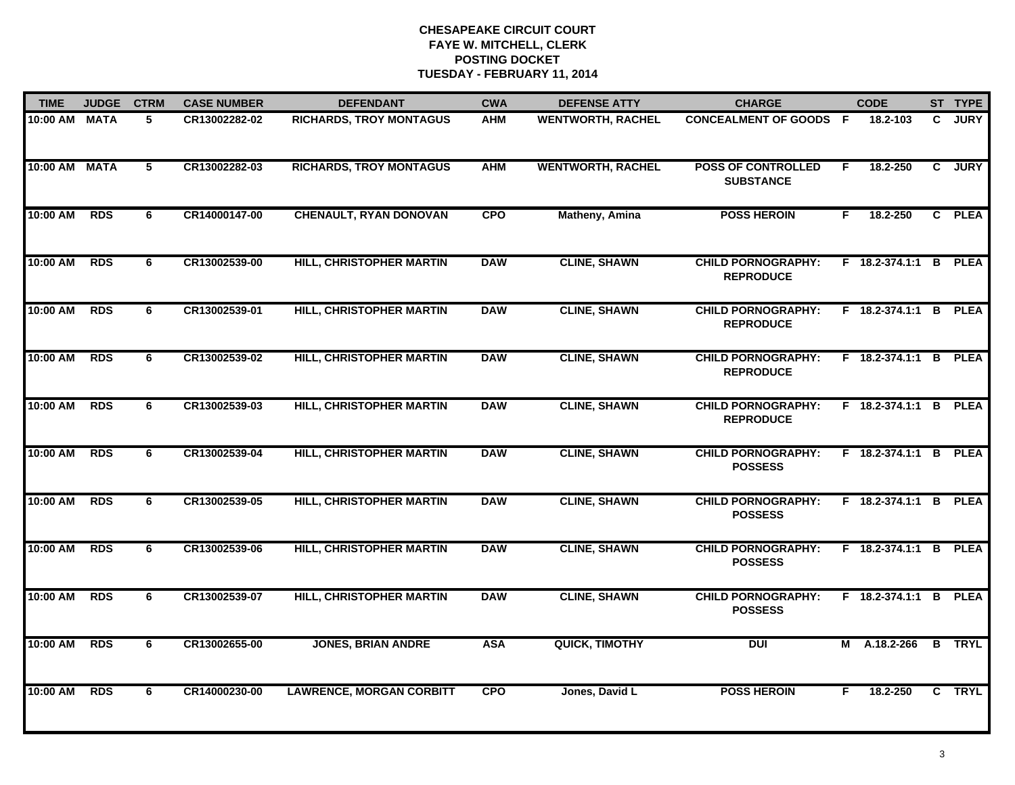| <b>TIME</b>   | <b>JUDGE</b> | <b>CTRM</b>     | <b>CASE NUMBER</b> | <b>DEFENDANT</b>                | <b>CWA</b> | <b>DEFENSE ATTY</b>      | <b>CHARGE</b>                                 |    | <b>CODE</b>           |              | ST TYPE       |
|---------------|--------------|-----------------|--------------------|---------------------------------|------------|--------------------------|-----------------------------------------------|----|-----------------------|--------------|---------------|
| 10:00 AM MATA |              | 5               | CR13002282-02      | <b>RICHARDS, TROY MONTAGUS</b>  | <b>AHM</b> | <b>WENTWORTH, RACHEL</b> | <b>CONCEALMENT OF GOODS F</b>                 |    | 18.2-103              | $\mathbf{c}$ | <b>JURY</b>   |
| 10:00 AM MATA |              | $5\phantom{.0}$ | CR13002282-03      | <b>RICHARDS, TROY MONTAGUS</b>  | <b>AHM</b> | <b>WENTWORTH, RACHEL</b> | <b>POSS OF CONTROLLED</b><br><b>SUBSTANCE</b> | F  | 18.2-250              | $\mathbf{c}$ | <b>JURY</b>   |
| 10:00 AM      | <b>RDS</b>   | 6               | CR14000147-00      | <b>CHENAULT, RYAN DONOVAN</b>   | <b>CPO</b> | <b>Matheny, Amina</b>    | <b>POSS HEROIN</b>                            | F. | 18.2-250              |              | C PLEA        |
| 10:00 AM      | <b>RDS</b>   | 6               | CR13002539-00      | HILL, CHRISTOPHER MARTIN        | <b>DAW</b> | <b>CLINE, SHAWN</b>      | <b>CHILD PORNOGRAPHY:</b><br><b>REPRODUCE</b> |    | F 18.2-374.1:1 B PLEA |              |               |
| 10:00 AM      | <b>RDS</b>   | 6               | CR13002539-01      | HILL, CHRISTOPHER MARTIN        | <b>DAW</b> | <b>CLINE, SHAWN</b>      | <b>CHILD PORNOGRAPHY:</b><br><b>REPRODUCE</b> |    | F 18.2-374.1:1 B PLEA |              |               |
| 10:00 AM RDS  |              | 6               | CR13002539-02      | HILL, CHRISTOPHER MARTIN        | <b>DAW</b> | <b>CLINE, SHAWN</b>      | <b>CHILD PORNOGRAPHY:</b><br><b>REPRODUCE</b> |    | F 18.2-374.1:1 B PLEA |              |               |
| 10:00 AM      | <b>RDS</b>   | 6               | CR13002539-03      | <b>HILL, CHRISTOPHER MARTIN</b> | <b>DAW</b> | <b>CLINE, SHAWN</b>      | <b>CHILD PORNOGRAPHY:</b><br><b>REPRODUCE</b> |    | F 18.2-374.1:1 B PLEA |              |               |
| 10:00 AM      | <b>RDS</b>   | 6               | CR13002539-04      | <b>HILL, CHRISTOPHER MARTIN</b> | <b>DAW</b> | <b>CLINE, SHAWN</b>      | <b>CHILD PORNOGRAPHY:</b><br><b>POSSESS</b>   |    | F 18.2-374.1:1 B PLEA |              |               |
| 10:00 AM      | <b>RDS</b>   | 6               | CR13002539-05      | HILL, CHRISTOPHER MARTIN        | <b>DAW</b> | <b>CLINE, SHAWN</b>      | <b>CHILD PORNOGRAPHY:</b><br><b>POSSESS</b>   |    | F 18.2-374.1:1 B PLEA |              |               |
| 10:00 AM      | <b>RDS</b>   | 6               | CR13002539-06      | HILL, CHRISTOPHER MARTIN        | <b>DAW</b> | <b>CLINE, SHAWN</b>      | <b>CHILD PORNOGRAPHY:</b><br><b>POSSESS</b>   |    | F 18.2-374.1:1 B PLEA |              |               |
| 10:00 AM      | <b>RDS</b>   | 6               | CR13002539-07      | HILL, CHRISTOPHER MARTIN        | <b>DAW</b> | <b>CLINE, SHAWN</b>      | <b>CHILD PORNOGRAPHY:</b><br><b>POSSESS</b>   |    | F 18.2-374.1:1 B      |              | <b>PLEA</b>   |
| 10:00 AM      | <b>RDS</b>   | 6               | CR13002655-00      | <b>JONES, BRIAN ANDRE</b>       | <b>ASA</b> | <b>QUICK, TIMOTHY</b>    | <b>DUI</b>                                    | М  | A.18.2-266            |              | <b>B</b> TRYL |
| 10:00 AM      | <b>RDS</b>   | 6               | CR14000230-00      | <b>LAWRENCE, MORGAN CORBITT</b> | <b>CPO</b> | Jones, David L           | <b>POSS HEROIN</b>                            | F. | 18.2-250              |              | C TRYL        |